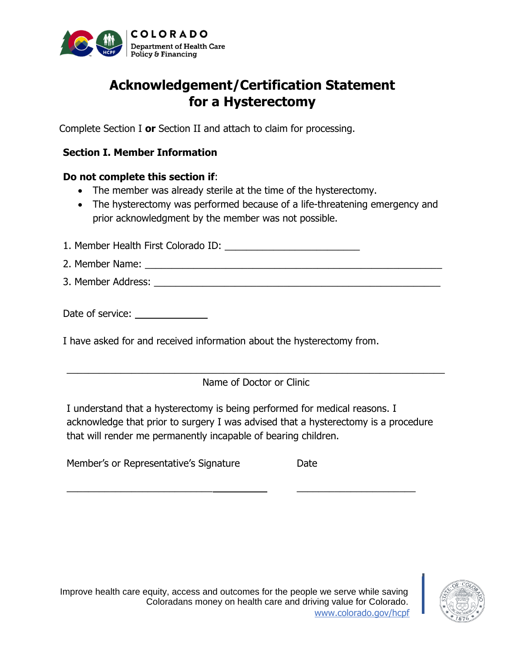

# **Acknowledgement/Certification Statement for a Hysterectomy**

Complete Section I **or** Section II and attach to claim for processing.

# **Section I. Member Information**

## **Do not complete this section if**:

- The member was already sterile at the time of the hysterectomy.
- The hysterectomy was performed because of a life-threatening emergency and prior acknowledgment by the member was not possible.

1. Member Health First Colorado ID: \_\_\_\_\_\_\_\_\_\_\_\_\_\_\_\_\_\_\_\_\_\_\_\_\_

- 2. Member Name: \_\_\_\_\_\_\_\_\_\_\_\_\_\_\_\_\_\_\_\_\_\_\_\_\_\_\_\_\_\_\_\_\_\_\_\_\_\_\_\_\_\_\_\_\_\_\_\_\_\_\_\_\_\_\_
- 3. Member Address: \_\_\_\_\_\_\_\_\_\_\_\_\_\_\_\_\_\_\_\_\_\_\_\_\_\_\_\_\_\_\_\_\_\_\_\_\_\_\_\_\_\_\_\_\_\_\_\_\_\_\_\_\_

Date of service:

I have asked for and received information about the hysterectomy from.

\_\_\_\_\_\_\_\_\_\_\_\_\_\_\_\_\_\_\_\_\_\_\_\_\_\_\_\_\_\_\_\_\_\_\_\_\_\_\_\_\_\_\_\_\_\_\_\_\_\_\_\_\_\_\_\_\_\_\_\_\_\_\_\_\_\_\_\_\_\_ Name of Doctor or Clinic

I understand that a hysterectomy is being performed for medical reasons. I acknowledge that prior to surgery I was advised that a hysterectomy is a procedure that will render me permanently incapable of bearing children.

 $\frac{1}{2}$  ,  $\frac{1}{2}$  ,  $\frac{1}{2}$  ,  $\frac{1}{2}$  ,  $\frac{1}{2}$  ,  $\frac{1}{2}$  ,  $\frac{1}{2}$  ,  $\frac{1}{2}$  ,  $\frac{1}{2}$  ,  $\frac{1}{2}$  ,  $\frac{1}{2}$  ,  $\frac{1}{2}$  ,  $\frac{1}{2}$  ,  $\frac{1}{2}$  ,  $\frac{1}{2}$  ,  $\frac{1}{2}$  ,  $\frac{1}{2}$  ,  $\frac{1}{2}$  ,  $\frac{1$ 

Member's or Representative's Signature Date